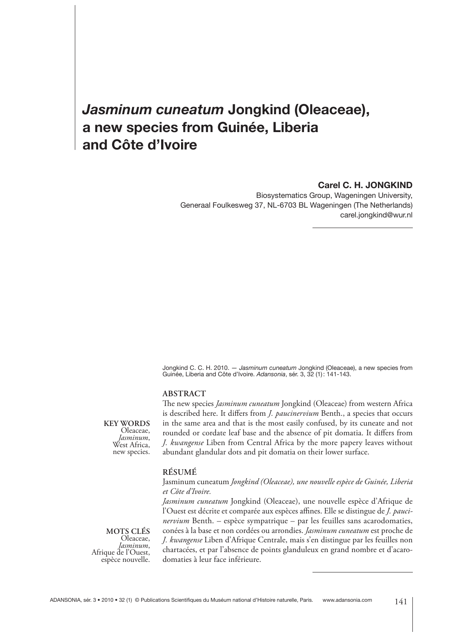# *Jasminum cuneatum* **Jongkind (Oleaceae), a new species from Guinée, Liberia and Côte d'Ivoire**

## **Carel C. H. JONGKIND**

Biosystematics Group, Wageningen University, Generaal Foulkesweg 37, NL-6703 BL Wageningen (The Netherlands) carel.jongkind@wur.nl

Jongkind C. C. H. 2010. — *Jasminum cuneatum* Jongkind (Oleaceae), a new species from Guinée, Liberia and Côte d'Ivoire. *Adansonia*, sér. 3, 32 (1) : 141-143.

## **ABSTRACT**

**KEY WORDS** Oleaceae,<br>Jasminum, West Africa, new species.

The new species *Jasminum cuneatum* Jongkind (Oleaceae) from western Africa is described here. It differs from *J. paucinervium* Benth., a species that occurs in the same area and that is the most easily confused, by its cuneate and not rounded or cordate leaf base and the absence of pit domatia. It differs from *J. kwangense* Liben from Central Africa by the more papery leaves without abundant glandular dots and pit domatia on their lower surface.

## **RÉSUMÉ**

### Jasminum cuneatum *Jongkind (Oleaceae), une nouvelle espèce de Guinée, Liberia et Côte d'Ivoire.*

*Jasminum cuneatum* Jongkind (Oleaceae), une nouvelle espèce d'Afrique de l'Ouest est décrite et comparée aux espèces affines. Elle se distingue de *J. paucinervium* Benth. – espèce sympatrique – par les feuilles sans acarodomaties, conées à la base et non cordées ou arrondies. *Jasminum cuneatum* est proche de *J. kwangense* Liben d'Afrique Centrale, mais s'en distingue par les feuilles non chartacées, et par l'absence de points glanduleux en grand nombre et d'acarodomaties à leur face inférieure.

**MOTS CLÉS** Oleaceae,<br>Jasminum, Afrique de l'Ouest,<br>espèce nouvelle.

ADANSONIA, sér. 3 • 2010 • 32 (1) © Publications Scientifiques du Muséum national d'Histoire naturelle, Paris. www.adansonia.com 141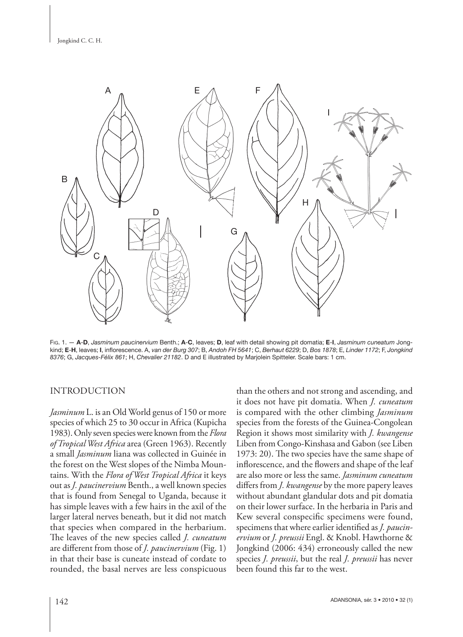

FIG. 1. — **A**-**D**, *Jasminum paucinervium* Benth.; **A**-**C**, leaves; **D**, leaf with detail showing pit domatia; **E**-**I**, *Jasminum cuneatum* Jongkind; **E**-**H**, leaves; **I**, infl orescence. A, *van der Burg 307*; B, *Andoh FH 5641*; C, *Berhaut 6229*; D, *Bos 1878*; E, *Linder 1172*; F, *Jongkind 8376*; G, *Jacques-Félix 861*; H, *Chevalier 21182*. D and E illustrated by Marjolein Spitteler. Scale bars: 1 cm.

## INTRODUCTION

*Jasminum* L. is an Old World genus of 150 or more species of which 25 to 30 occur in Africa (Kupicha 1983). Only seven species were known from the *Flora of Tropical West Africa* area (Green 1963). Recently a small *Jasminum* liana was collected in Guinée in the forest on the West slopes of the Nimba Mountains. With the *Flora of West Tropical Africa* it keys out as *J. paucinervium* Benth., a well known species that is found from Senegal to Uganda, because it has simple leaves with a few hairs in the axil of the larger lateral nerves beneath, but it did not match that species when compared in the herbarium. The leaves of the new species called *J. cuneatum* are different from those of *J. paucinervium* (Fig. 1) in that their base is cuneate instead of cordate to rounded, the basal nerves are less conspicuous than the others and not strong and ascending, and it does not have pit domatia. When *J. cuneatum* is compared with the other climbing *Jasminum* species from the forests of the Guinea-Congolean Region it shows most similarity with *J. kwangense* Liben from Congo-Kinshasa and Gabon (see Liben 1973: 20). The two species have the same shape of inflorescence, and the flowers and shape of the leaf are also more or less the same. *Jasminum cuneatum* differs from *J. kwangense* by the more papery leaves without abundant glandular dots and pit domatia on their lower surface. In the herbaria in Paris and Kew several conspecific specimens were found, specimens that where earlier identified as *J. paucinervium* or *J. preussii* Engl. & Knobl. Hawthorne & Jongkind (2006: 434) erroneously called the new species *J. preussii*, but the real *J. preussii* has never been found this far to the west.